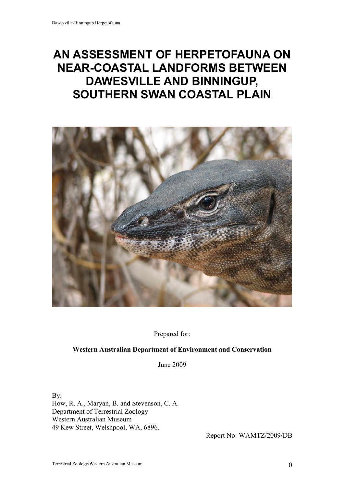# AN ASSESSMENT OF HERPETOFAUNA ON NEAR-COASTAL LANDFORMS BETWEEN DAWESVILLE AND BINNINGUP, SOUTHERN SWAN COASTAL PLAIN



Prepared for:

### Western Australian Department of Environment and Conservation

June 2009

By:

How, R. A., Maryan, B. and Stevenson, C. A. Department of Terrestrial Zoology Western Australian Museum 49 Kew Street, Welshpool, WA, 6896.

Report No: WAMTZ/2009/DB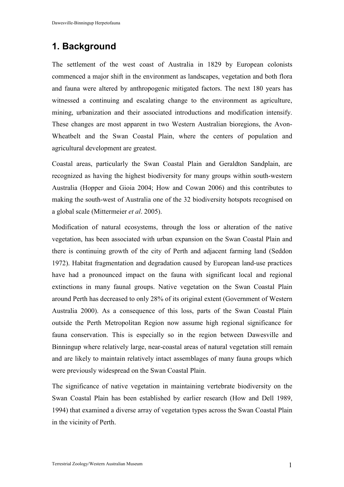# 1. Background

The settlement of the west coast of Australia in 1829 by European colonists commenced a major shift in the environment as landscapes, vegetation and both flora and fauna were altered by anthropogenic mitigated factors. The next 180 years has witnessed a continuing and escalating change to the environment as agriculture, mining, urbanization and their associated introductions and modification intensify. These changes are most apparent in two Western Australian bioregions, the Avon-Wheatbelt and the Swan Coastal Plain, where the centers of population and agricultural development are greatest.

Coastal areas, particularly the Swan Coastal Plain and Geraldton Sandplain, are recognized as having the highest biodiversity for many groups within south-western Australia (Hopper and Gioia 2004; How and Cowan 2006) and this contributes to making the south-west of Australia one of the 32 biodiversity hotspots recognised on a global scale (Mittermeier et al. 2005).

Modification of natural ecosystems, through the loss or alteration of the native vegetation, has been associated with urban expansion on the Swan Coastal Plain and there is continuing growth of the city of Perth and adjacent farming land (Seddon 1972). Habitat fragmentation and degradation caused by European land-use practices have had a pronounced impact on the fauna with significant local and regional extinctions in many faunal groups. Native vegetation on the Swan Coastal Plain around Perth has decreased to only 28% of its original extent (Government of Western Australia 2000). As a consequence of this loss, parts of the Swan Coastal Plain outside the Perth Metropolitan Region now assume high regional significance for fauna conservation. This is especially so in the region between Dawesville and Binningup where relatively large, near-coastal areas of natural vegetation still remain and are likely to maintain relatively intact assemblages of many fauna groups which were previously widespread on the Swan Coastal Plain.

The significance of native vegetation in maintaining vertebrate biodiversity on the Swan Coastal Plain has been established by earlier research (How and Dell 1989, 1994) that examined a diverse array of vegetation types across the Swan Coastal Plain in the vicinity of Perth.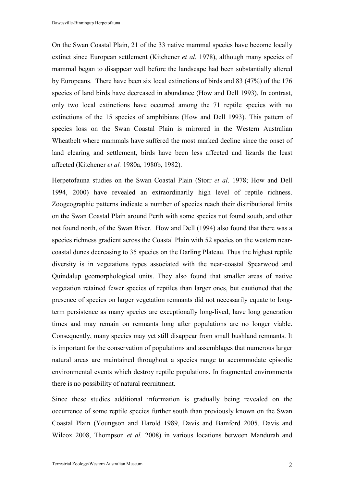On the Swan Coastal Plain, 21 of the 33 native mammal species have become locally extinct since European settlement (Kitchener *et al.* 1978), although many species of mammal began to disappear well before the landscape had been substantially altered by Europeans. There have been six local extinctions of birds and 83 (47%) of the 176 species of land birds have decreased in abundance (How and Dell 1993). In contrast, only two local extinctions have occurred among the 71 reptile species with no extinctions of the 15 species of amphibians (How and Dell 1993). This pattern of species loss on the Swan Coastal Plain is mirrored in the Western Australian Wheatbelt where mammals have suffered the most marked decline since the onset of land clearing and settlement, birds have been less affected and lizards the least affected (Kitchener et al. 1980a, 1980b, 1982).

Herpetofauna studies on the Swan Coastal Plain (Storr et al. 1978; How and Dell 1994, 2000) have revealed an extraordinarily high level of reptile richness. Zoogeographic patterns indicate a number of species reach their distributional limits on the Swan Coastal Plain around Perth with some species not found south, and other not found north, of the Swan River. How and Dell (1994) also found that there was a species richness gradient across the Coastal Plain with 52 species on the western nearcoastal dunes decreasing to 35 species on the Darling Plateau. Thus the highest reptile diversity is in vegetations types associated with the near-coastal Spearwood and Quindalup geomorphological units. They also found that smaller areas of native vegetation retained fewer species of reptiles than larger ones, but cautioned that the presence of species on larger vegetation remnants did not necessarily equate to longterm persistence as many species are exceptionally long-lived, have long generation times and may remain on remnants long after populations are no longer viable. Consequently, many species may yet still disappear from small bushland remnants. It is important for the conservation of populations and assemblages that numerous larger natural areas are maintained throughout a species range to accommodate episodic environmental events which destroy reptile populations. In fragmented environments there is no possibility of natural recruitment.

Since these studies additional information is gradually being revealed on the occurrence of some reptile species further south than previously known on the Swan Coastal Plain (Youngson and Harold 1989, Davis and Bamford 2005, Davis and Wilcox 2008, Thompson et al. 2008) in various locations between Mandurah and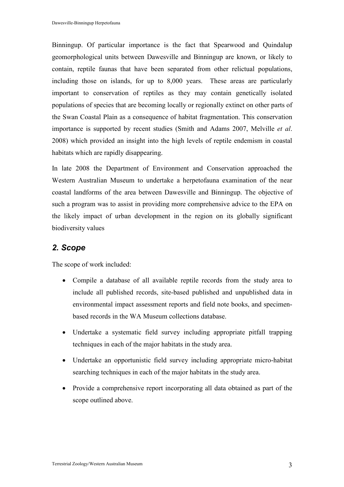Binningup. Of particular importance is the fact that Spearwood and Quindalup geomorphological units between Dawesville and Binningup are known, or likely to contain, reptile faunas that have been separated from other relictual populations, including those on islands, for up to 8,000 years. These areas are particularly important to conservation of reptiles as they may contain genetically isolated populations of species that are becoming locally or regionally extinct on other parts of the Swan Coastal Plain as a consequence of habitat fragmentation. This conservation importance is supported by recent studies (Smith and Adams 2007, Melville et al. 2008) which provided an insight into the high levels of reptile endemism in coastal habitats which are rapidly disappearing.

In late 2008 the Department of Environment and Conservation approached the Western Australian Museum to undertake a herpetofauna examination of the near coastal landforms of the area between Dawesville and Binningup. The objective of such a program was to assist in providing more comprehensive advice to the EPA on the likely impact of urban development in the region on its globally significant biodiversity values

## 2. Scope

The scope of work included:

- Compile a database of all available reptile records from the study area to include all published records, site-based published and unpublished data in environmental impact assessment reports and field note books, and specimenbased records in the WA Museum collections database.
- Undertake a systematic field survey including appropriate pitfall trapping techniques in each of the major habitats in the study area.
- Undertake an opportunistic field survey including appropriate micro-habitat searching techniques in each of the major habitats in the study area.
- Provide a comprehensive report incorporating all data obtained as part of the scope outlined above.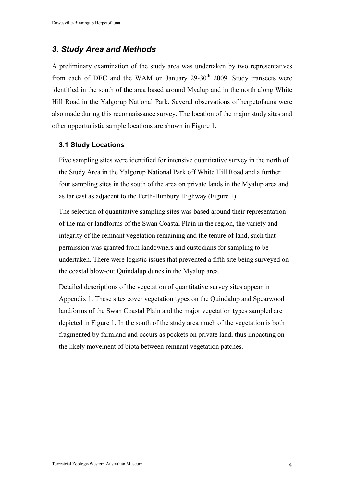## 3. Study Area and Methods

A preliminary examination of the study area was undertaken by two representatives from each of DEC and the WAM on January  $29-30<sup>th</sup>$  2009. Study transects were identified in the south of the area based around Myalup and in the north along White Hill Road in the Yalgorup National Park. Several observations of herpetofauna were also made during this reconnaissance survey. The location of the major study sites and other opportunistic sample locations are shown in Figure 1.

#### 3.1 Study Locations

Five sampling sites were identified for intensive quantitative survey in the north of the Study Area in the Yalgorup National Park off White Hill Road and a further four sampling sites in the south of the area on private lands in the Myalup area and as far east as adjacent to the Perth-Bunbury Highway (Figure 1).

The selection of quantitative sampling sites was based around their representation of the major landforms of the Swan Coastal Plain in the region, the variety and integrity of the remnant vegetation remaining and the tenure of land, such that permission was granted from landowners and custodians for sampling to be undertaken. There were logistic issues that prevented a fifth site being surveyed on the coastal blow-out Quindalup dunes in the Myalup area.

Detailed descriptions of the vegetation of quantitative survey sites appear in Appendix 1. These sites cover vegetation types on the Quindalup and Spearwood landforms of the Swan Coastal Plain and the major vegetation types sampled are depicted in Figure 1. In the south of the study area much of the vegetation is both fragmented by farmland and occurs as pockets on private land, thus impacting on the likely movement of biota between remnant vegetation patches.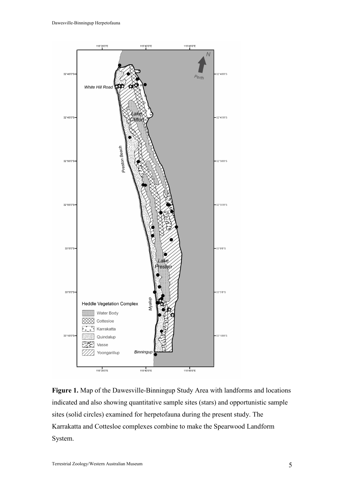

Figure 1. Map of the Dawesville-Binningup Study Area with landforms and locations indicated and also showing quantitative sample sites (stars) and opportunistic sample sites (solid circles) examined for herpetofauna during the present study. The Karrakatta and Cottesloe complexes combine to make the Spearwood Landform System.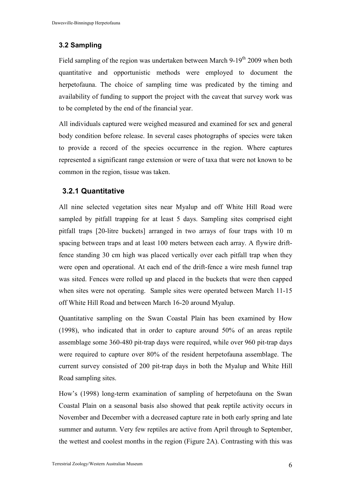## 3.2 Sampling

Field sampling of the region was undertaken between March 9-19<sup>th</sup> 2009 when both quantitative and opportunistic methods were employed to document the herpetofauna. The choice of sampling time was predicated by the timing and availability of funding to support the project with the caveat that survey work was to be completed by the end of the financial year.

All individuals captured were weighed measured and examined for sex and general body condition before release. In several cases photographs of species were taken to provide a record of the species occurrence in the region. Where captures represented a significant range extension or were of taxa that were not known to be common in the region, tissue was taken.

## 3.2.1 Quantitative

All nine selected vegetation sites near Myalup and off White Hill Road were sampled by pitfall trapping for at least 5 days. Sampling sites comprised eight pitfall traps [20-litre buckets] arranged in two arrays of four traps with 10 m spacing between traps and at least 100 meters between each array. A flywire driftfence standing 30 cm high was placed vertically over each pitfall trap when they were open and operational. At each end of the drift-fence a wire mesh funnel trap was sited. Fences were rolled up and placed in the buckets that were then capped when sites were not operating. Sample sites were operated between March 11-15 off White Hill Road and between March 16-20 around Myalup.

Quantitative sampling on the Swan Coastal Plain has been examined by How (1998), who indicated that in order to capture around 50% of an areas reptile assemblage some 360-480 pit-trap days were required, while over 960 pit-trap days were required to capture over 80% of the resident herpetofauna assemblage. The current survey consisted of 200 pit-trap days in both the Myalup and White Hill Road sampling sites.

How's (1998) long-term examination of sampling of herpetofauna on the Swan Coastal Plain on a seasonal basis also showed that peak reptile activity occurs in November and December with a decreased capture rate in both early spring and late summer and autumn. Very few reptiles are active from April through to September, the wettest and coolest months in the region (Figure 2A). Contrasting with this was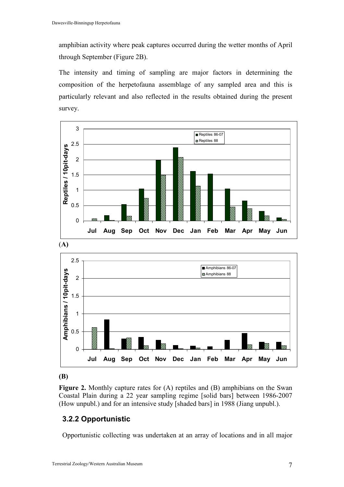amphibian activity where peak captures occurred during the wetter months of April through September (Figure 2B).

The intensity and timing of sampling are major factors in determining the composition of the herpetofauna assemblage of any sampled area and this is particularly relevant and also reflected in the results obtained during the present survey.





(B)

Figure 2. Monthly capture rates for (A) reptiles and (B) amphibians on the Swan Coastal Plain during a 22 year sampling regime [solid bars] between 1986-2007 (How unpubl.) and for an intensive study [shaded bars] in 1988 (Jiang unpubl.).

## 3.2.2 Opportunistic

Opportunistic collecting was undertaken at an array of locations and in all major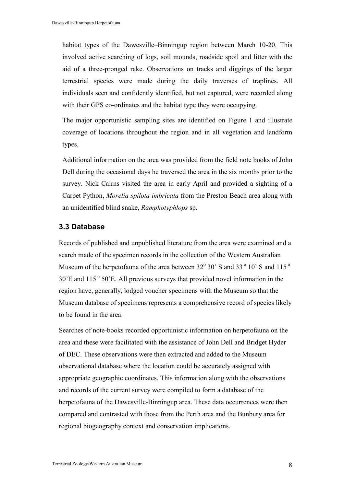habitat types of the Dawesville–Binningup region between March 10-20. This involved active searching of logs, soil mounds, roadside spoil and litter with the aid of a three-pronged rake. Observations on tracks and diggings of the larger terrestrial species were made during the daily traverses of traplines. All individuals seen and confidently identified, but not captured, were recorded along with their GPS co-ordinates and the habitat type they were occupying.

The major opportunistic sampling sites are identified on Figure 1 and illustrate coverage of locations throughout the region and in all vegetation and landform types,

Additional information on the area was provided from the field note books of John Dell during the occasional days he traversed the area in the six months prior to the survey. Nick Cairns visited the area in early April and provided a sighting of a Carpet Python, Morelia spilota imbricata from the Preston Beach area along with an unidentified blind snake, Ramphotyphlops sp.

#### 3.3 Database

Records of published and unpublished literature from the area were examined and a search made of the specimen records in the collection of the Western Australian Museum of the herpetofauna of the area between  $32^{\circ}$  30' S and  $33^{\circ}$  10' S and  $115^{\circ}$  $30'E$  and  $115°50'E$ . All previous surveys that provided novel information in the region have, generally, lodged voucher specimens with the Museum so that the Museum database of specimens represents a comprehensive record of species likely to be found in the area.

Searches of note-books recorded opportunistic information on herpetofauna on the area and these were facilitated with the assistance of John Dell and Bridget Hyder of DEC. These observations were then extracted and added to the Museum observational database where the location could be accurately assigned with appropriate geographic coordinates. This information along with the observations and records of the current survey were compiled to form a database of the herpetofauna of the Dawesville-Binningup area. These data occurrences were then compared and contrasted with those from the Perth area and the Bunbury area for regional biogeography context and conservation implications.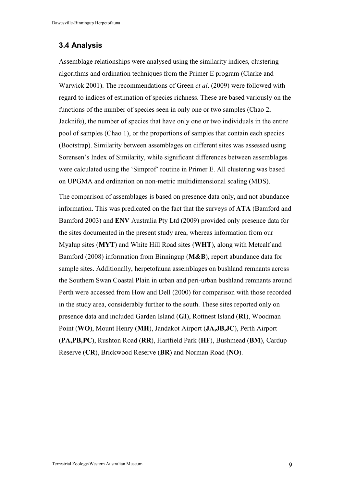## 3.4 Analysis

Assemblage relationships were analysed using the similarity indices, clustering algorithms and ordination techniques from the Primer E program (Clarke and Warwick 2001). The recommendations of Green et al. (2009) were followed with regard to indices of estimation of species richness. These are based variously on the functions of the number of species seen in only one or two samples (Chao 2, Jacknife), the number of species that have only one or two individuals in the entire pool of samples (Chao 1), or the proportions of samples that contain each species (Bootstrap). Similarity between assemblages on different sites was assessed using Sorensen's Index of Similarity, while significant differences between assemblages were calculated using the 'Simprof' routine in Primer E. All clustering was based on UPGMA and ordination on non-metric multidimensional scaling (MDS).

The comparison of assemblages is based on presence data only, and not abundance information. This was predicated on the fact that the surveys of ATA (Bamford and Bamford 2003) and ENV Australia Pty Ltd (2009) provided only presence data for the sites documented in the present study area, whereas information from our Myalup sites (MYT) and White Hill Road sites (WHT), along with Metcalf and Bamford (2008) information from Binningup (M&B), report abundance data for sample sites. Additionally, herpetofauna assemblages on bushland remnants across the Southern Swan Coastal Plain in urban and peri-urban bushland remnants around Perth were accessed from How and Dell (2000) for comparison with those recorded in the study area, considerably further to the south. These sites reported only on presence data and included Garden Island (GI), Rottnest Island (RI), Woodman Point (WO), Mount Henry (MH), Jandakot Airport (JA,JB,JC), Perth Airport (PA,PB,PC), Rushton Road (RR), Hartfield Park (HF), Bushmead (BM), Cardup Reserve (CR), Brickwood Reserve (BR) and Norman Road (NO).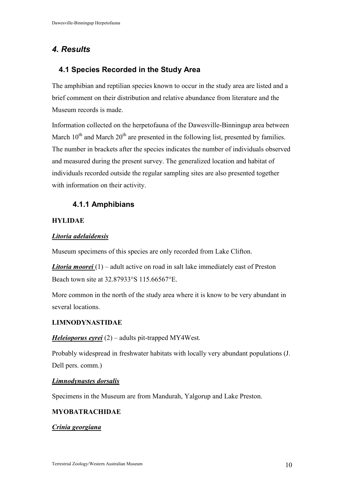## 4. Results

## 4.1 Species Recorded in the Study Area

The amphibian and reptilian species known to occur in the study area are listed and a brief comment on their distribution and relative abundance from literature and the Museum records is made.

Information collected on the herpetofauna of the Dawesville-Binningup area between March  $10^{th}$  and March  $20^{th}$  are presented in the following list, presented by families. The number in brackets after the species indicates the number of individuals observed and measured during the present survey. The generalized location and habitat of individuals recorded outside the regular sampling sites are also presented together with information on their activity.

## 4.1.1 Amphibians

### **HYLIDAE**

## Litoria adelaidensis

Museum specimens of this species are only recorded from Lake Clifton.

**Litoria moorei** (1) – adult active on road in salt lake immediately east of Preston Beach town site at 32.87933°S 115.66567°E.

More common in the north of the study area where it is know to be very abundant in several locations.

### LIMNODYNASTIDAE

### Heleioporus eyrei  $(2)$  – adults pit-trapped MY4West.

Probably widespread in freshwater habitats with locally very abundant populations (J. Dell pers. comm.)

### Limnodynastes dorsalis

Specimens in the Museum are from Mandurah, Yalgorup and Lake Preston.

### MYOBATRACHIDAE

#### Crinia georgiana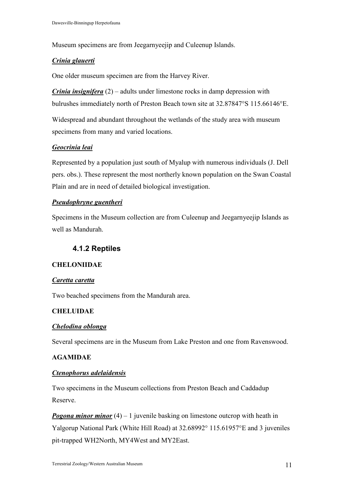Museum specimens are from Jeegarnyeejip and Culeenup Islands.

#### Crinia glauerti

One older museum specimen are from the Harvey River.

*Crinia insignifera*  $(2)$  – adults under limestone rocks in damp depression with bulrushes immediately north of Preston Beach town site at 32.87847°S 115.66146°E.

Widespread and abundant throughout the wetlands of the study area with museum specimens from many and varied locations.

#### Geocrinia leai

Represented by a population just south of Myalup with numerous individuals (J. Dell pers. obs.). These represent the most northerly known population on the Swan Coastal Plain and are in need of detailed biological investigation.

#### Pseudophryne guentheri

Specimens in the Museum collection are from Culeenup and Jeegarnyeejip Islands as well as Mandurah.

## 4.1.2 Reptiles

#### CHELONIIDAE

#### Caretta caretta

Two beached specimens from the Mandurah area.

#### **CHELUIDAE**

#### Chelodina oblonga

Several specimens are in the Museum from Lake Preston and one from Ravenswood.

#### AGAMIDAE

#### Ctenophorus adelaidensis

Two specimens in the Museum collections from Preston Beach and Caddadup Reserve.

**Pogona minor minor** (4) – 1 juvenile basking on limestone outcrop with heath in Yalgorup National Park (White Hill Road) at 32.68992° 115.61957°E and 3 juveniles pit-trapped WH2North, MY4West and MY2East.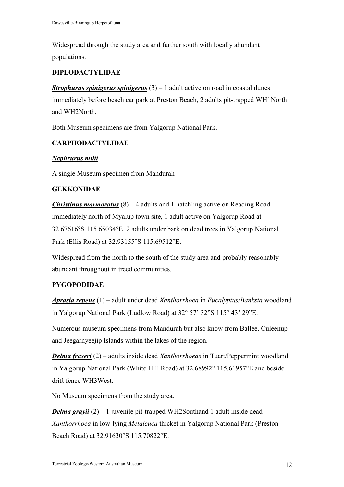Widespread through the study area and further south with locally abundant populations.

## DIPLODACTYLIDAE

**Strophurus spinigerus spinigerus**  $(3) - 1$  adult active on road in coastal dunes immediately before beach car park at Preston Beach, 2 adults pit-trapped WH1North and WH2North.

Both Museum specimens are from Yalgorup National Park.

## CARPHODACTYLIDAE

#### Nephrurus milii

A single Museum specimen from Mandurah

#### **GEKKONIDAE**

**Christinus marmoratus**  $(8) - 4$  adults and 1 hatchling active on Reading Road immediately north of Myalup town site, 1 adult active on Yalgorup Road at 32.67616°S 115.65034°E, 2 adults under bark on dead trees in Yalgorup National Park (Ellis Road) at 32.93155°S 115.69512°E.

Widespread from the north to the south of the study area and probably reasonably abundant throughout in treed communities.

## PYGOPODIDAE

Aprasia repens  $(1)$  – adult under dead Xanthorrhoea in Eucalyptus/Banksia woodland in Yalgorup National Park (Ludlow Road) at 32° 57' 32"S 115° 43' 29"E.

Numerous museum specimens from Mandurah but also know from Ballee, Culeenup and Jeegarnyeejip Islands within the lakes of the region.

**Delma fraseri** (2) – adults inside dead *Xanthorrhoeas* in Tuart/Peppermint woodland in Yalgorup National Park (White Hill Road) at 32.68992° 115.61957°E and beside drift fence WH3West.

No Museum specimens from the study area.

**Delma grayii**  $(2) - 1$  juvenile pit-trapped WH2Southand 1 adult inside dead Xanthorrhoea in low-lying Melaleuca thicket in Yalgorup National Park (Preston Beach Road) at 32.91630°S 115.70822°E.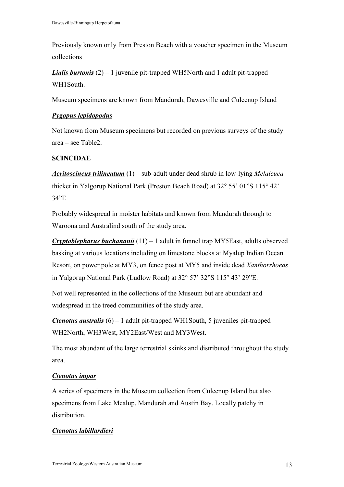Previously known only from Preston Beach with a voucher specimen in the Museum collections

**Lialis burtonis**  $(2) - 1$  juvenile pit-trapped WH5North and 1 adult pit-trapped WH1South.

Museum specimens are known from Mandurah, Dawesville and Culeenup Island

## Pygopus lepidopodus

Not known from Museum specimens but recorded on previous surveys of the study area – see Table2.

## **SCINCIDAE**

Acritoscincus trilineatum  $(1)$  – sub-adult under dead shrub in low-lying Melaleuca thicket in Yalgorup National Park (Preston Beach Road) at 32° 55' 01"S 115° 42' 34"E.

Probably widespread in moister habitats and known from Mandurah through to Waroona and Australind south of the study area.

**Cryptoblepharus buchananii** (11) – 1 adult in funnel trap MY5East, adults observed basking at various locations including on limestone blocks at Myalup Indian Ocean Resort, on power pole at MY3, on fence post at MY5 and inside dead Xanthorrhoeas in Yalgorup National Park (Ludlow Road) at 32° 57' 32"S 115° 43' 29"E.

Not well represented in the collections of the Museum but are abundant and widespread in the treed communities of the study area.

**Ctenotus australis**  $(6) - 1$  adult pit-trapped WH1South, 5 juveniles pit-trapped WH2North, WH3West, MY2East/West and MY3West.

The most abundant of the large terrestrial skinks and distributed throughout the study area.

## Ctenotus impar

A series of specimens in the Museum collection from Culeenup Island but also specimens from Lake Mealup, Mandurah and Austin Bay. Locally patchy in distribution.

## Ctenotus labillardieri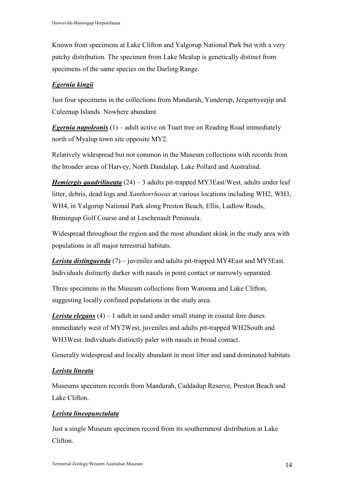Known from specimens at Lake Clifton and Yalgorup National Park but with a very patchy distribution. The specimen from Lake Mealup is genetically distinct from specimens of the same species on the Darling Range.

## Egernia kingii

Just four specimens in the collections from Mandurah, Yunderup, Jeegarnyeejip and Culeenup Islands. Nowhere abundant.

**Egernia napoleonis**  $(1)$  – adult active on Tuart tree on Reading Road immediately north of Myalup town site opposite MY2.

Relatively widespread but not common in the Museum collections with records from the broader areas of Harvey, North Dandalup, Lake Pollard and Australind.

*Hemiergis quadrilineata* (24) – 3 adults pit-trapped MY3East/West, adults under leaf litter, debris, dead logs and Xanthorrhoeas at various locations including WH2, WH3, WH4, in Yalgorup National Park along Preston Beach, Ellis, Ludlow Roads, Binningup Golf Course and at Leschenault Peninsula.

Widespread throughout the region and the most abundant skink in the study area with populations in all major terrestrial habitats.

**Lerista distinguenda** (7) – juveniles and adults pit-trapped MY4East and MY5East. Individuals distinctly darker with nasals in point contact or narrowly separated.

Three specimens in the Museum collections from Waroona and Lake Clifton, suggesting locally confined populations in the study area.

**Lerista elegans** (4) – 1 adult in sand under small stump in coastal fore dunes immediately west of MY2West, juveniles and adults pit-trapped WH2South and WH3West. Individuals distinctly paler with nasals in broad contact.

Generally widespread and locally abundant in most litter and sand dominated habitats.

## Lerista lineata

Museums specimen records from Mandurah, Caddadup Reserve, Preston Beach and Lake Clifton.

## Lerista lineopunctulata

Just a single Museum specimen record from its southernmost distribution at Lake Clifton.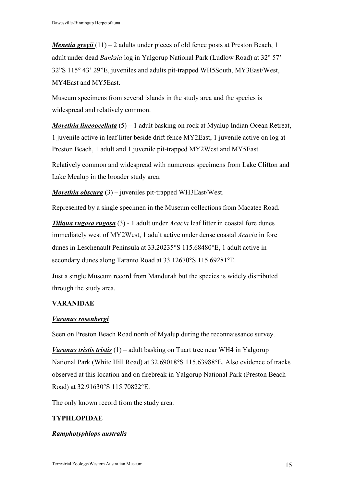*Menetia greyii*  $(11) - 2$  adults under pieces of old fence posts at Preston Beach, 1 adult under dead Banksia log in Yalgorup National Park (Ludlow Road) at 32° 57' 32"S 115° 43' 29"E, juveniles and adults pit-trapped WH5South, MY3East/West, MY4East and MY5East.

Museum specimens from several islands in the study area and the species is widespread and relatively common.

*Morethia lineoocellata*  $(5) - 1$  adult basking on rock at Myalup Indian Ocean Retreat, 1 juvenile active in leaf litter beside drift fence MY2East, 1 juvenile active on log at Preston Beach, 1 adult and 1 juvenile pit-trapped MY2West and MY5East.

Relatively common and widespread with numerous specimens from Lake Clifton and Lake Mealup in the broader study area.

**Morethia obscura** (3) – juveniles pit-trapped WH3East/West.

Represented by a single specimen in the Museum collections from Macatee Road.

**Tiliqua rugosa rugosa** (3) - 1 adult under *Acacia* leaf litter in coastal fore dunes immediately west of MY2West, 1 adult active under dense coastal Acacia in fore dunes in Leschenault Peninsula at 33.20235°S 115.68480°E, 1 adult active in secondary dunes along Taranto Road at 33.12670°S 115.69281°E.

Just a single Museum record from Mandurah but the species is widely distributed through the study area.

#### VARANIDAE

#### Varanus rosenbergi

Seen on Preston Beach Road north of Myalup during the reconnaissance survey.

*Varanus tristis tristis* (1) – adult basking on Tuart tree near WH4 in Yalgorup National Park (White Hill Road) at 32.69018°S 115.63988°E. Also evidence of tracks observed at this location and on firebreak in Yalgorup National Park (Preston Beach Road) at 32.91630°S 115.70822°E.

The only known record from the study area.

### TYPHLOPIDAE

#### Ramphotyphlops australis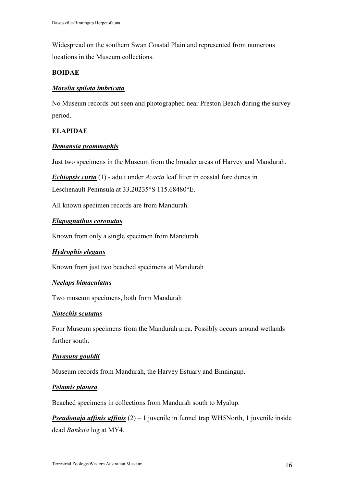Widespread on the southern Swan Coastal Plain and represented from numerous locations in the Museum collections.

#### BOIDAE

#### Morelia spilota imbricata

No Museum records but seen and photographed near Preston Beach during the survey period.

#### ELAPIDAE

#### Demansia psammophis

Just two specimens in the Museum from the broader areas of Harvey and Mandurah.

**Echiopsis curta** (1) - adult under *Acacia* leaf litter in coastal fore dunes in Leschenault Peninsula at 33.20235°S 115.68480°E.

All known specimen records are from Mandurah.

#### Elapognathus coronatus

Known from only a single specimen from Mandurah.

#### Hydrophis elegans

Known from just two beached specimens at Mandurah

#### Neelaps bimaculatus

Two museum specimens, both from Mandurah

#### Notechis scutatus

Four Museum specimens from the Mandurah area. Possibly occurs around wetlands further south.

#### Parasuta gouldii

Museum records from Mandurah, the Harvey Estuary and Binningup.

#### Pelamis platura

Beached specimens in collections from Mandurah south to Myalup.

**Pseudonaja affinis affinis**  $(2) - 1$  juvenile in funnel trap WH5North, 1 juvenile inside dead Banksia log at MY4.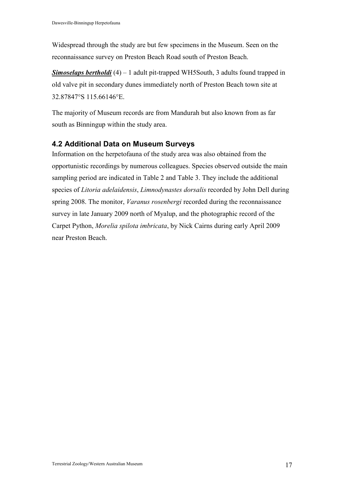Widespread through the study are but few specimens in the Museum. Seen on the reconnaissance survey on Preston Beach Road south of Preston Beach.

**Simoselaps bertholdi** (4) – 1 adult pit-trapped WH5South, 3 adults found trapped in old valve pit in secondary dunes immediately north of Preston Beach town site at 32.87847°S 115.66146°E.

The majority of Museum records are from Mandurah but also known from as far south as Binningup within the study area.

## 4.2 Additional Data on Museum Surveys

Information on the herpetofauna of the study area was also obtained from the opportunistic recordings by numerous colleagues. Species observed outside the main sampling period are indicated in Table 2 and Table 3. They include the additional species of Litoria adelaidensis, Limnodynastes dorsalis recorded by John Dell during spring 2008. The monitor, *Varanus rosenbergi* recorded during the reconnaissance survey in late January 2009 north of Myalup, and the photographic record of the Carpet Python, Morelia spilota imbricata, by Nick Cairns during early April 2009 near Preston Beach.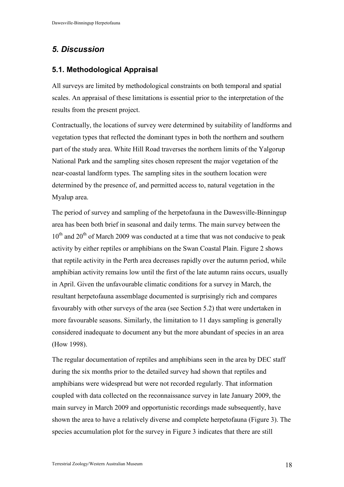## 5. Discussion

## 5.1. Methodological Appraisal

All surveys are limited by methodological constraints on both temporal and spatial scales. An appraisal of these limitations is essential prior to the interpretation of the results from the present project.

Contractually, the locations of survey were determined by suitability of landforms and vegetation types that reflected the dominant types in both the northern and southern part of the study area. White Hill Road traverses the northern limits of the Yalgorup National Park and the sampling sites chosen represent the major vegetation of the near-coastal landform types. The sampling sites in the southern location were determined by the presence of, and permitted access to, natural vegetation in the Myalup area.

The period of survey and sampling of the herpetofauna in the Dawesville-Binningup area has been both brief in seasonal and daily terms. The main survey between the  $10^{th}$  and  $20^{th}$  of March 2009 was conducted at a time that was not conducive to peak activity by either reptiles or amphibians on the Swan Coastal Plain. Figure 2 shows that reptile activity in the Perth area decreases rapidly over the autumn period, while amphibian activity remains low until the first of the late autumn rains occurs, usually in April. Given the unfavourable climatic conditions for a survey in March, the resultant herpetofauna assemblage documented is surprisingly rich and compares favourably with other surveys of the area (see Section 5.2) that were undertaken in more favourable seasons. Similarly, the limitation to 11 days sampling is generally considered inadequate to document any but the more abundant of species in an area (How 1998).

The regular documentation of reptiles and amphibians seen in the area by DEC staff during the six months prior to the detailed survey had shown that reptiles and amphibians were widespread but were not recorded regularly. That information coupled with data collected on the reconnaissance survey in late January 2009, the main survey in March 2009 and opportunistic recordings made subsequently, have shown the area to have a relatively diverse and complete herpetofauna (Figure 3). The species accumulation plot for the survey in Figure 3 indicates that there are still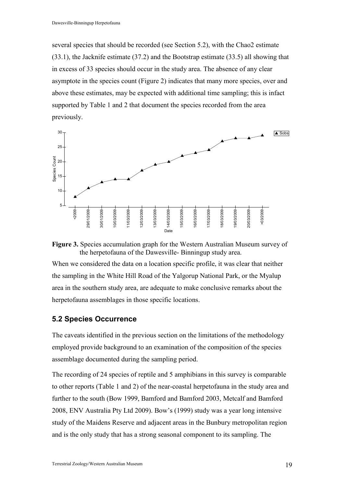several species that should be recorded (see Section 5.2), with the Chao2 estimate (33.1), the Jacknife estimate (37.2) and the Bootstrap estimate (33.5) all showing that in excess of 33 species should occur in the study area. The absence of any clear asymptote in the species count (Figure 2) indicates that many more species, over and above these estimates, may be expected with additional time sampling; this is infact supported by Table 1 and 2 that document the species recorded from the area previously.





When we considered the data on a location specific profile, it was clear that neither the sampling in the White Hill Road of the Yalgorup National Park, or the Myalup area in the southern study area, are adequate to make conclusive remarks about the herpetofauna assemblages in those specific locations.

#### 5.2 Species Occurrence

The caveats identified in the previous section on the limitations of the methodology employed provide background to an examination of the composition of the species assemblage documented during the sampling period.

The recording of 24 species of reptile and 5 amphibians in this survey is comparable to other reports (Table 1 and 2) of the near-coastal herpetofauna in the study area and further to the south (Bow 1999, Bamford and Bamford 2003, Metcalf and Bamford 2008, ENV Australia Pty Ltd 2009). Bow's (1999) study was a year long intensive study of the Maidens Reserve and adjacent areas in the Bunbury metropolitan region and is the only study that has a strong seasonal component to its sampling. The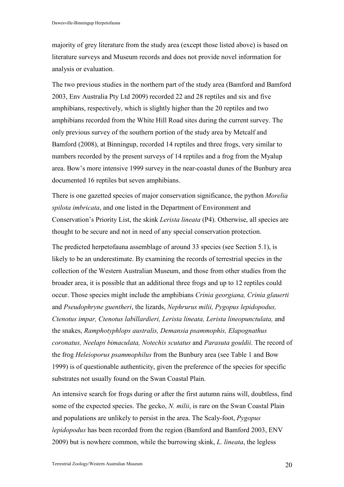majority of grey literature from the study area (except those listed above) is based on literature surveys and Museum records and does not provide novel information for analysis or evaluation.

The two previous studies in the northern part of the study area (Bamford and Bamford 2003, Env Australia Pty Ltd 2009) recorded 22 and 28 reptiles and six and five amphibians, respectively, which is slightly higher than the 20 reptiles and two amphibians recorded from the White Hill Road sites during the current survey. The only previous survey of the southern portion of the study area by Metcalf and Bamford (2008), at Binningup, recorded 14 reptiles and three frogs, very similar to numbers recorded by the present surveys of 14 reptiles and a frog from the Myalup area. Bow's more intensive 1999 survey in the near-coastal dunes of the Bunbury area documented 16 reptiles but seven amphibians.

There is one gazetted species of major conservation significance, the python Morelia spilota imbricata, and one listed in the Department of Environment and Conservation's Priority List, the skink Lerista lineata (P4). Otherwise, all species are thought to be secure and not in need of any special conservation protection.

The predicted herpetofauna assemblage of around 33 species (see Section 5.1), is likely to be an underestimate. By examining the records of terrestrial species in the collection of the Western Australian Museum, and those from other studies from the broader area, it is possible that an additional three frogs and up to 12 reptiles could occur. Those species might include the amphibians Crinia georgiana, Crinia glauerti and Pseudophryne guentheri, the lizards, Nephrurus milii, Pygopus lepidopodus, Ctenotus impar, Ctenotus labillardieri, Lerista lineata, Lerista lineopunctulata, and the snakes, Ramphotyphlops australis, Demansia psammophis, Elapognathus coronatus, Neelaps bimaculata, Notechis scutatus and Parasuta gouldii. The record of the frog Heleioporus psammophilus from the Bunbury area (see Table 1 and Bow 1999) is of questionable authenticity, given the preference of the species for specific substrates not usually found on the Swan Coastal Plain.

An intensive search for frogs during or after the first autumn rains will, doubtless, find some of the expected species. The gecko, N. milii, is rare on the Swan Coastal Plain and populations are unlikely to persist in the area. The Scaly-foot, Pygopus lepidopodus has been recorded from the region (Bamford and Bamford 2003, ENV 2009) but is nowhere common, while the burrowing skink, L. lineata, the legless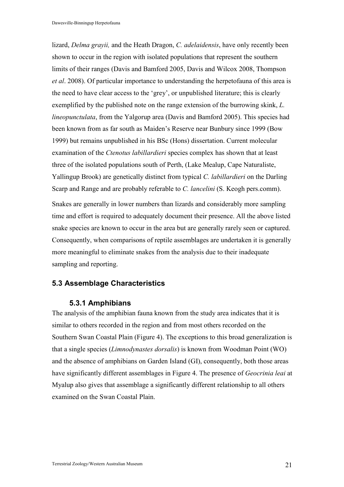lizard, Delma grayii, and the Heath Dragon, C. adelaidensis, have only recently been shown to occur in the region with isolated populations that represent the southern limits of their ranges (Davis and Bamford 2005, Davis and Wilcox 2008, Thompson et al. 2008). Of particular importance to understanding the herpetofauna of this area is the need to have clear access to the 'grey', or unpublished literature; this is clearly exemplified by the published note on the range extension of the burrowing skink, L. lineopunctulata, from the Yalgorup area (Davis and Bamford 2005). This species had been known from as far south as Maiden's Reserve near Bunbury since 1999 (Bow 1999) but remains unpublished in his BSc (Hons) dissertation. Current molecular examination of the Ctenotus labillardieri species complex has shown that at least three of the isolated populations south of Perth, (Lake Mealup, Cape Naturaliste, Yallingup Brook) are genetically distinct from typical C. labillardieri on the Darling Scarp and Range and are probably referable to C. lancelini (S. Keogh pers.comm).

Snakes are generally in lower numbers than lizards and considerably more sampling time and effort is required to adequately document their presence. All the above listed snake species are known to occur in the area but are generally rarely seen or captured. Consequently, when comparisons of reptile assemblages are undertaken it is generally more meaningful to eliminate snakes from the analysis due to their inadequate sampling and reporting.

### 5.3 Assemblage Characteristics

#### 5.3.1 Amphibians

The analysis of the amphibian fauna known from the study area indicates that it is similar to others recorded in the region and from most others recorded on the Southern Swan Coastal Plain (Figure 4). The exceptions to this broad generalization is that a single species (Limnodynastes dorsalis) is known from Woodman Point (WO) and the absence of amphibians on Garden Island (GI), consequently, both those areas have significantly different assemblages in Figure 4. The presence of *Geocrinia leai* at Myalup also gives that assemblage a significantly different relationship to all others examined on the Swan Coastal Plain.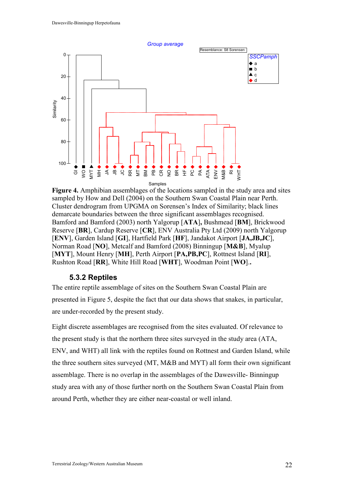

Figure 4. Amphibian assemblages of the locations sampled in the study area and sites sampled by How and Dell (2004) on the Southern Swan Coastal Plain near Perth. Cluster dendrogram from UPGMA on Sorensen's Index of Similarity; black lines demarcate boundaries between the three significant assemblages recognised. Bamford and Bamford (2003) north Yalgorup [ATA], Bushmead [BM], Brickwood Reserve [BR], Cardup Reserve [CR], ENV Australia Pty Ltd (2009) north Yalgorup [ENV], Garden Island [GI], Hartfield Park [HF], Jandakot Airport [JA,JB,JC], Norman Road [NO], Metcalf and Bamford (2008) Binningup [M&B], Myalup [MYT], Mount Henry [MH], Perth Airport [PA,PB,PC], Rottnest Island [RI], Rushton Road [RR], White Hill Road [WHT], Woodman Point [WO]..

### 5.3.2 Reptiles

The entire reptile assemblage of sites on the Southern Swan Coastal Plain are presented in Figure 5, despite the fact that our data shows that snakes, in particular, are under-recorded by the present study.

Eight discrete assemblages are recognised from the sites evaluated. Of relevance to the present study is that the northern three sites surveyed in the study area (ATA, ENV, and WHT) all link with the reptiles found on Rottnest and Garden Island, while the three southern sites surveyed (MT, M&B and MYT) all form their own significant assemblage. There is no overlap in the assemblages of the Dawesville- Binningup study area with any of those further north on the Southern Swan Coastal Plain from around Perth, whether they are either near-coastal or well inland.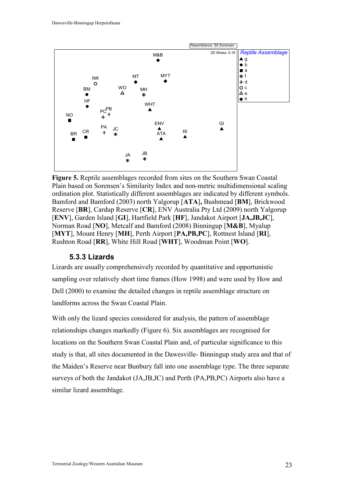

Figure 5. Reptile assemblages recorded from sites on the Southern Swan Coastal Plain based on Sorensen's Similarity Index and non-metric multidimensional scaling ordination plot. Statistically different assemblages are indicated by different symbols. Bamford and Bamford (2003) north Yalgorup [ATA], Bushmead [BM], Brickwood Reserve [BR], Cardup Reserve [CR], ENV Australia Pty Ltd (2009) north Yalgorup [ENV], Garden Island [GI], Hartfield Park [HF], Jandakot Airport [JA,JB,JC], Norman Road [NO], Metcalf and Bamford (2008) Binningup [M&B], Myalup [MYT], Mount Henry [MH], Perth Airport [PA,PB,PC], Rottnest Island [RI], Rushton Road [RR], White Hill Road [WHT], Woodman Point [WO].

### 5.3.3 Lizards

Lizards are usually comprehensively recorded by quantitative and opportunistic sampling over relatively short time frames (How 1998) and were used by How and Dell (2000) to examine the detailed changes in reptile assemblage structure on landforms across the Swan Coastal Plain.

With only the lizard species considered for analysis, the pattern of assemblage relationships changes markedly (Figure 6). Six assemblages are recognised for locations on the Southern Swan Coastal Plain and, of particular significance to this study is that, all sites documented in the Dawesville- Binningup study area and that of the Maiden's Reserve near Bunbury fall into one assemblage type. The three separate surveys of both the Jandakot (JA,JB,JC) and Perth (PA,PB,PC) Airports also have a similar lizard assemblage.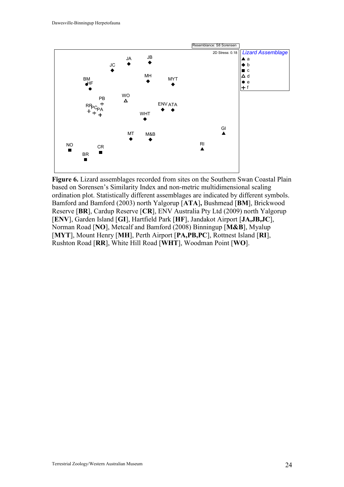

Figure 6. Lizard assemblages recorded from sites on the Southern Swan Coastal Plain based on Sorensen's Similarity Index and non-metric multidimensional scaling ordination plot. Statistically different assemblages are indicated by different symbols. Bamford and Bamford (2003) north Yalgorup [ATA], Bushmead [BM], Brickwood Reserve [BR], Cardup Reserve [CR], ENV Australia Pty Ltd (2009) north Yalgorup [ENV], Garden Island [GI], Hartfield Park [HF], Jandakot Airport [JA,JB,JC], Norman Road [NO], Metcalf and Bamford (2008) Binningup [M&B], Myalup [MYT], Mount Henry [MH], Perth Airport [PA,PB,PC], Rottnest Island [RI], Rushton Road [RR], White Hill Road [WHT], Woodman Point [WO].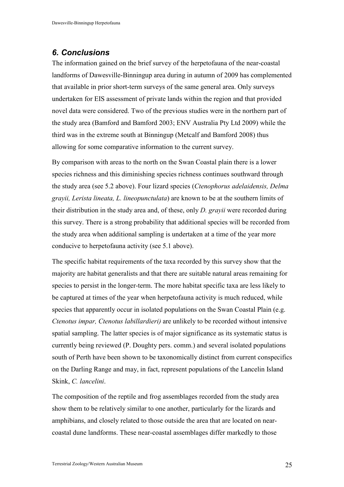## 6. Conclusions

The information gained on the brief survey of the herpetofauna of the near-coastal landforms of Dawesville-Binningup area during in autumn of 2009 has complemented that available in prior short-term surveys of the same general area. Only surveys undertaken for EIS assessment of private lands within the region and that provided novel data were considered. Two of the previous studies were in the northern part of the study area (Bamford and Bamford 2003; ENV Australia Pty Ltd 2009) while the third was in the extreme south at Binningup (Metcalf and Bamford 2008) thus allowing for some comparative information to the current survey.

By comparison with areas to the north on the Swan Coastal plain there is a lower species richness and this diminishing species richness continues southward through the study area (see 5.2 above). Four lizard species (Ctenophorus adelaidensis, Delma grayii, Lerista lineata, L. lineopunctulata) are known to be at the southern limits of their distribution in the study area and, of these, only D. grayii were recorded during this survey. There is a strong probability that additional species will be recorded from the study area when additional sampling is undertaken at a time of the year more conducive to herpetofauna activity (see 5.1 above).

The specific habitat requirements of the taxa recorded by this survey show that the majority are habitat generalists and that there are suitable natural areas remaining for species to persist in the longer-term. The more habitat specific taxa are less likely to be captured at times of the year when herpetofauna activity is much reduced, while species that apparently occur in isolated populations on the Swan Coastal Plain (e.g. Ctenotus impar, Ctenotus labillardieri) are unlikely to be recorded without intensive spatial sampling. The latter species is of major significance as its systematic status is currently being reviewed (P. Doughty pers. comm.) and several isolated populations south of Perth have been shown to be taxonomically distinct from current conspecifics on the Darling Range and may, in fact, represent populations of the Lancelin Island Skink, C. lancelini.

The composition of the reptile and frog assemblages recorded from the study area show them to be relatively similar to one another, particularly for the lizards and amphibians, and closely related to those outside the area that are located on nearcoastal dune landforms. These near-coastal assemblages differ markedly to those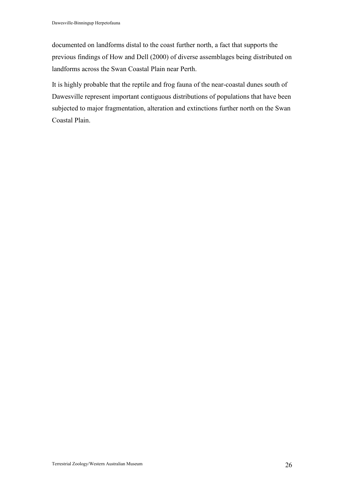documented on landforms distal to the coast further north, a fact that supports the previous findings of How and Dell (2000) of diverse assemblages being distributed on landforms across the Swan Coastal Plain near Perth.

It is highly probable that the reptile and frog fauna of the near-coastal dunes south of Dawesville represent important contiguous distributions of populations that have been subjected to major fragmentation, alteration and extinctions further north on the Swan Coastal Plain.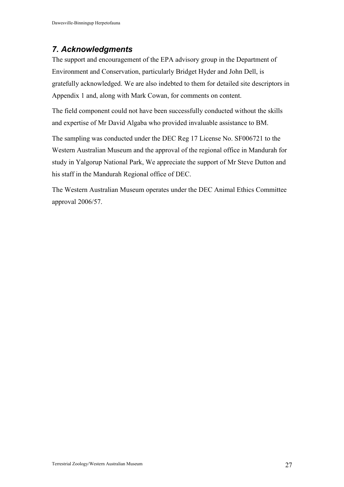## 7. Acknowledgments

The support and encouragement of the EPA advisory group in the Department of Environment and Conservation, particularly Bridget Hyder and John Dell, is gratefully acknowledged. We are also indebted to them for detailed site descriptors in Appendix 1 and, along with Mark Cowan, for comments on content.

The field component could not have been successfully conducted without the skills and expertise of Mr David Algaba who provided invaluable assistance to BM.

The sampling was conducted under the DEC Reg 17 License No. SF006721 to the Western Australian Museum and the approval of the regional office in Mandurah for study in Yalgorup National Park, We appreciate the support of Mr Steve Dutton and his staff in the Mandurah Regional office of DEC.

The Western Australian Museum operates under the DEC Animal Ethics Committee approval 2006/57.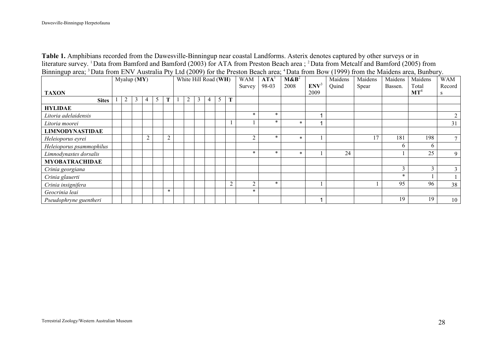Table 1. Amphibians recorded from the Dawesville-Binningup near coastal Landforms. Asterix denotes captured by other surveys or in literature survey. <sup>1</sup> Data from Bamford and Bamford (2003) for ATA from Preston Beach area ; <sup>2</sup> Data from Metcalf and Bamford (2005) from Binningup area; <sup>3</sup> Data from ENV Australia Pty Ltd (2009) for the Preston Beach area; <sup>4</sup> Data from Bow (1999) from the Maidens area, Bunbury.

| ັ່<br>Myalup (MY)<br><b>TAXON</b> |  |  |   |               |               |        |                |   |   | White Hill Road (WH) |   | <b>WAM</b><br>Survey | $\mathbf{A} \mathbf{T} \mathbf{A}^1$<br>98-03 | $M\&B2$<br>2008 | ENV <sup>3</sup><br>2009 | Maidens<br>Quind | Maidens<br>Spear | Maidens<br>Bassen. | Maidens<br>Total<br>MT <sup>4</sup> | <b>WAM</b><br>Record<br>S |
|-----------------------------------|--|--|---|---------------|---------------|--------|----------------|---|---|----------------------|---|----------------------|-----------------------------------------------|-----------------|--------------------------|------------------|------------------|--------------------|-------------------------------------|---------------------------|
| <b>Sites</b>                      |  |  | 3 | 4             | $\mathcal{L}$ | T      | $\overline{2}$ | 3 | 4 | 5                    | m |                      |                                               |                 |                          |                  |                  |                    |                                     |                           |
| <b>HYLIDAE</b>                    |  |  |   |               |               |        |                |   |   |                      |   |                      |                                               |                 |                          |                  |                  |                    |                                     |                           |
| Litoria adelaidensis              |  |  |   |               |               |        |                |   |   |                      |   | $\ast$               | $\ast$                                        |                 |                          |                  |                  |                    |                                     |                           |
| Litoria moorei                    |  |  |   |               |               |        |                |   |   |                      |   |                      | $\ast$                                        | $\ast$          |                          |                  |                  |                    |                                     | 31                        |
| <b>LIMNODYNASTIDAE</b>            |  |  |   |               |               |        |                |   |   |                      |   |                      |                                               |                 |                          |                  |                  |                    |                                     |                           |
| Heleioporus eyrei                 |  |  |   | $\mathcal{D}$ |               | 2      |                |   |   |                      |   | $\sim$               | $\ast$                                        | $\ast$          |                          |                  | 17               | 181                | 198                                 | $\mathbf{r}$              |
| Heleioporus psammophilus          |  |  |   |               |               |        |                |   |   |                      |   |                      |                                               |                 |                          |                  |                  | 6                  | 6                                   |                           |
| Limnodynastes dorsalis            |  |  |   |               |               |        |                |   |   |                      |   | $\ast$               | $\ast$                                        | $\ast$          |                          | 24               |                  |                    | 25                                  | 9                         |
| <b>MYOBATRACHIDAE</b>             |  |  |   |               |               |        |                |   |   |                      |   |                      |                                               |                 |                          |                  |                  |                    |                                     |                           |
| Crinia georgiana                  |  |  |   |               |               |        |                |   |   |                      |   |                      |                                               |                 |                          |                  |                  | 3                  | 3                                   | 3                         |
| Crinia glauerti                   |  |  |   |               |               |        |                |   |   |                      |   |                      |                                               |                 |                          |                  |                  | $\ast$             |                                     |                           |
| Crinia insignifera                |  |  |   |               |               |        |                |   |   |                      | 2 | $\sim$               | $\ast$                                        |                 |                          |                  |                  | 95                 | 96                                  | 38                        |
| Geocrinia leai                    |  |  |   |               |               | $\ast$ |                |   |   |                      |   | $\ast$               |                                               |                 |                          |                  |                  |                    |                                     |                           |
| Pseudophryne guentheri            |  |  |   |               |               |        |                |   |   |                      |   |                      |                                               |                 |                          |                  |                  | 19                 | 19                                  | 10                        |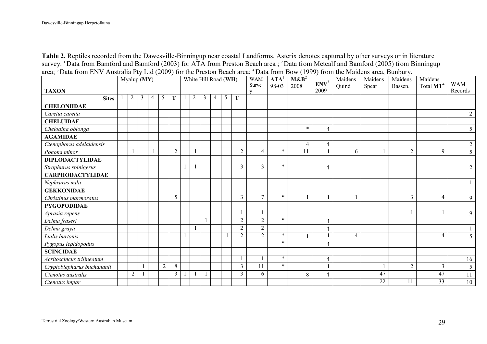Table 2. Reptiles recorded from the Dawesville-Binningup near coastal Landforms. Asterix denotes captured by other surveys or in literature survey. <sup>1</sup> Data from Bamford and Bamford (2003) for ATA from Preston Beach area ; <sup>2</sup> Data from Metcalf and Bamford (2005) from Binningup area; <sup>3</sup> Data from ENV Australia Pty Ltd (2009) for the Preston Beach area; <sup>4</sup> Data from Bow (1999) from the Maidens area, Bunbury.

| $=$ $\frac{1}{2}$ $\frac{1}{2}$ $\frac{1}{2}$ $\frac{1}{2}$ $\frac{1}{2}$ $\frac{1}{2}$ $\frac{1}{2}$ $\frac{1}{2}$ $\frac{1}{2}$ $\frac{1}{2}$ $\frac{1}{2}$ $\frac{1}{2}$ $\frac{1}{2}$ $\frac{1}{2}$ $\frac{1}{2}$ $\frac{1}{2}$ $\frac{1}{2}$ $\frac{1}{2}$ $\frac{1}{2}$ $\frac{1}{2}$ $\frac{1}{2}$ $\frac{1}{2$<br><b>TAXON</b> | $\overline{\text{Myalup (MY)}}$ |                |                |                |                |                |                |                | White Hill Road (WH) |                | <b>WAM</b><br>Surve | $\mathbf{A} \mathbf{T} \mathbf{A}^{\text{I}}$<br>98-03 | $M\&B2$<br>2008 | ENV <sup>3</sup><br>2009 | Maidens<br>Quind | Maidens<br>Spear | Maidens<br>Bassen. | Maidens<br>Total MT <sup>4</sup> | <b>WAM</b><br>Records |
|----------------------------------------------------------------------------------------------------------------------------------------------------------------------------------------------------------------------------------------------------------------------------------------------------------------------------------------|---------------------------------|----------------|----------------|----------------|----------------|----------------|----------------|----------------|----------------------|----------------|---------------------|--------------------------------------------------------|-----------------|--------------------------|------------------|------------------|--------------------|----------------------------------|-----------------------|
| <b>Sites</b>                                                                                                                                                                                                                                                                                                                           | $\overline{2}$                  | $\mathfrak{Z}$ | $\overline{4}$ | 5              | T              | $\overline{2}$ | $\mathfrak{Z}$ | $\overline{4}$ | 5                    | T              |                     |                                                        |                 |                          |                  |                  |                    |                                  |                       |
| <b>CHELONIIDAE</b>                                                                                                                                                                                                                                                                                                                     |                                 |                |                |                |                |                |                |                |                      |                |                     |                                                        |                 |                          |                  |                  |                    |                                  |                       |
| Caretta caretta                                                                                                                                                                                                                                                                                                                        |                                 |                |                |                |                |                |                |                |                      |                |                     |                                                        |                 |                          |                  |                  |                    |                                  | $\overline{2}$        |
| <b>CHELUIDAE</b>                                                                                                                                                                                                                                                                                                                       |                                 |                |                |                |                |                |                |                |                      |                |                     |                                                        |                 |                          |                  |                  |                    |                                  |                       |
| Chelodina oblonga                                                                                                                                                                                                                                                                                                                      |                                 |                |                |                |                |                |                |                |                      |                |                     |                                                        | $\ast$          |                          |                  |                  |                    |                                  | 5                     |
| <b>AGAMIDAE</b>                                                                                                                                                                                                                                                                                                                        |                                 |                |                |                |                |                |                |                |                      |                |                     |                                                        |                 |                          |                  |                  |                    |                                  |                       |
| Ctenophorus adelaidensis                                                                                                                                                                                                                                                                                                               |                                 |                |                |                |                |                |                |                |                      |                |                     |                                                        | $\overline{4}$  | $\mathbf 1$              |                  |                  |                    |                                  | $\overline{2}$        |
| Pogona minor                                                                                                                                                                                                                                                                                                                           |                                 |                |                |                | $\overline{2}$ |                |                |                |                      | $\overline{2}$ | 4                   | $\ast$                                                 | 11              |                          | 6                |                  | $\overline{2}$     | 9                                | 5                     |
| <b>DIPLODACTYLIDAE</b>                                                                                                                                                                                                                                                                                                                 |                                 |                |                |                |                |                |                |                |                      |                |                     |                                                        |                 |                          |                  |                  |                    |                                  |                       |
| Strophurus spinigerus                                                                                                                                                                                                                                                                                                                  |                                 |                |                |                |                |                |                |                |                      | $\overline{3}$ | $\overline{3}$      | $\star$                                                |                 | $\blacktriangleleft$     |                  |                  |                    |                                  | $\overline{2}$        |
| <b>CARPHODACTYLIDAE</b>                                                                                                                                                                                                                                                                                                                |                                 |                |                |                |                |                |                |                |                      |                |                     |                                                        |                 |                          |                  |                  |                    |                                  |                       |
| Nephrurus milii                                                                                                                                                                                                                                                                                                                        |                                 |                |                |                |                |                |                |                |                      |                |                     |                                                        |                 |                          |                  |                  |                    |                                  |                       |
| <b>GEKKONIDAE</b>                                                                                                                                                                                                                                                                                                                      |                                 |                |                |                |                |                |                |                |                      |                |                     |                                                        |                 |                          |                  |                  |                    |                                  |                       |
| Christinus marmoratus                                                                                                                                                                                                                                                                                                                  |                                 |                |                |                | 5              |                |                |                |                      | $\overline{3}$ | $\tau$              | $\ast$                                                 |                 |                          |                  |                  | 3                  | $\overline{4}$                   | 9                     |
| <b>PYGOPODIDAE</b>                                                                                                                                                                                                                                                                                                                     |                                 |                |                |                |                |                |                |                |                      |                |                     |                                                        |                 |                          |                  |                  |                    |                                  |                       |
| Aprasia repens                                                                                                                                                                                                                                                                                                                         |                                 |                |                |                |                |                |                |                |                      |                |                     |                                                        |                 |                          |                  |                  |                    |                                  | 9                     |
| Delma fraseri                                                                                                                                                                                                                                                                                                                          |                                 |                |                |                |                |                | $\mathbf{1}$   |                |                      | $\sqrt{2}$     | $\overline{2}$      | $\ast$                                                 |                 |                          |                  |                  |                    |                                  |                       |
| Delma grayii                                                                                                                                                                                                                                                                                                                           |                                 |                |                |                |                |                |                |                |                      | $\overline{2}$ | $\overline{2}$      |                                                        |                 |                          |                  |                  |                    |                                  |                       |
| Lialis burtonis                                                                                                                                                                                                                                                                                                                        |                                 |                |                |                |                |                |                |                |                      | $\overline{2}$ | $\overline{2}$      | $\ast$                                                 |                 |                          | $\overline{4}$   |                  |                    | $\overline{4}$                   | 5                     |
| Pygopus lepidopodus                                                                                                                                                                                                                                                                                                                    |                                 |                |                |                |                |                |                |                |                      |                |                     | $\star$                                                |                 |                          |                  |                  |                    |                                  |                       |
| <b>SCINCIDAE</b>                                                                                                                                                                                                                                                                                                                       |                                 |                |                |                |                |                |                |                |                      |                |                     |                                                        |                 |                          |                  |                  |                    |                                  |                       |
| Acritoscincus trilineatum                                                                                                                                                                                                                                                                                                              |                                 |                |                |                |                |                |                |                |                      |                |                     | $\star$                                                |                 |                          |                  |                  |                    |                                  | 16                    |
| Cryptoblepharus buchananii                                                                                                                                                                                                                                                                                                             |                                 |                |                | $\overline{2}$ | $\,8\,$        |                |                |                |                      | $\overline{3}$ | 11                  | $\star$                                                |                 |                          |                  |                  | $\overline{2}$     | $\overline{3}$                   | 5                     |
| Ctenotus australis                                                                                                                                                                                                                                                                                                                     | $\overline{2}$                  |                |                |                | $\overline{3}$ |                | $\mathbf{1}$   |                |                      | $\mathfrak{Z}$ | 6                   |                                                        | 8               |                          |                  | 47               |                    | 47                               | 11                    |
| Ctenotus impar                                                                                                                                                                                                                                                                                                                         |                                 |                |                |                |                |                |                |                |                      |                |                     |                                                        |                 |                          |                  | 22               | 11                 | 33                               | 10                    |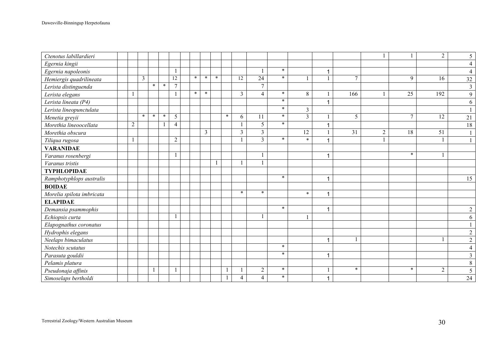| Ctenotus labillardieri    |              |                |         |         |                |         |                         |              |         |                         |                         |         |                 |                      |                 |                |                 | 2               | 5              |
|---------------------------|--------------|----------------|---------|---------|----------------|---------|-------------------------|--------------|---------|-------------------------|-------------------------|---------|-----------------|----------------------|-----------------|----------------|-----------------|-----------------|----------------|
| Egernia kingii            |              |                |         |         |                |         |                         |              |         |                         |                         |         |                 |                      |                 |                |                 |                 | 4              |
| Egernia napoleonis        |              |                |         |         |                |         |                         |              |         |                         |                         | $\star$ |                 |                      |                 |                |                 |                 |                |
| Hemiergis quadrilineata   |              | $\overline{3}$ |         |         | 12             | $\ast$  | $\ast$                  | $\ast$       |         | $\overline{12}$         | 24                      | $\ast$  |                 |                      | $\tau$          |                | 9               | 16              | 32             |
| Lerista distinguenda      |              |                | $\ast$  | $\ast$  | $\tau$         |         |                         |              |         |                         | $\overline{7}$          |         |                 |                      |                 |                |                 |                 | $\mathfrak{Z}$ |
| Lerista elegans           | $\mathbf{1}$ |                |         |         |                | $\star$ | $\ast$                  |              |         | $\overline{3}$          | $\overline{4}$          | $\star$ | 8               | $\mathbf{1}$         | 166             |                | 25              | 192             | 9              |
| Lerista lineata (P4)      |              |                |         |         |                |         |                         |              |         |                         |                         | $\star$ |                 |                      |                 |                |                 |                 | 6              |
| Lerista lineopunctulata   |              |                |         |         |                |         |                         |              |         |                         |                         | $\ast$  | $\overline{3}$  |                      |                 |                |                 |                 |                |
| Menetia greyii            |              | $\star$        | $\star$ | $\star$ | 5              |         |                         |              | $\star$ | 6                       | 11                      | $\star$ | $\overline{3}$  | 1                    | 5               |                | $\tau$          | 12              | 21             |
| Morethia lineoocellata    | $\sqrt{2}$   |                |         |         | $\overline{4}$ |         |                         |              |         |                         | $\overline{5}$          | $\star$ |                 |                      |                 |                |                 |                 | 18             |
| Morethia obscura          |              |                |         |         |                |         | $\overline{\mathbf{3}}$ |              |         | $\overline{\mathbf{3}}$ | $\overline{\mathbf{3}}$ |         | $\overline{12}$ |                      | $\overline{31}$ | $\overline{2}$ | $\overline{18}$ | $\overline{51}$ |                |
| Tiliqua rugosa            |              |                |         |         | $\sqrt{2}$     |         |                         |              |         | $\mathbf{1}$            | $\overline{3}$          | $\ast$  | $\ast$          |                      |                 |                |                 |                 |                |
| <b>VARANIDAE</b>          |              |                |         |         |                |         |                         |              |         |                         |                         |         |                 |                      |                 |                |                 |                 |                |
| Varanus rosenbergi        |              |                |         |         |                |         |                         |              |         |                         |                         |         |                 |                      |                 |                | $\ast$          |                 |                |
| Varanus tristis           |              |                |         |         |                |         |                         | $\mathbf{1}$ |         | $\mathbf{1}$            |                         |         |                 |                      |                 |                |                 |                 |                |
| <b>TYPHLOPIDAE</b>        |              |                |         |         |                |         |                         |              |         |                         |                         |         |                 |                      |                 |                |                 |                 |                |
| Ramphotyphlops australis  |              |                |         |         |                |         |                         |              |         |                         |                         | $\ast$  |                 | 1                    |                 |                |                 |                 | 15             |
| <b>BOIDAE</b>             |              |                |         |         |                |         |                         |              |         |                         |                         |         |                 |                      |                 |                |                 |                 |                |
| Morelia spilota imbricata |              |                |         |         |                |         |                         |              |         | $\ast$                  | $\ast$                  |         | $\ast$          | 1                    |                 |                |                 |                 |                |
| <b>ELAPIDAE</b>           |              |                |         |         |                |         |                         |              |         |                         |                         |         |                 |                      |                 |                |                 |                 |                |
| Demansia psammophis       |              |                |         |         |                |         |                         |              |         |                         |                         | $\star$ |                 | 1                    |                 |                |                 |                 | $\overline{2}$ |
| Echiopsis curta           |              |                |         |         |                |         |                         |              |         |                         |                         |         |                 |                      |                 |                |                 |                 | 6              |
| Elapognathus coronatus    |              |                |         |         |                |         |                         |              |         |                         |                         |         |                 |                      |                 |                |                 |                 |                |
| Hydrophis elegans         |              |                |         |         |                |         |                         |              |         |                         |                         |         |                 |                      |                 |                |                 |                 | $\overline{2}$ |
| Neelaps bimaculatus       |              |                |         |         |                |         |                         |              |         |                         |                         |         |                 | $\blacktriangleleft$ |                 |                |                 |                 | $\overline{2}$ |
| Notechis scutatus         |              |                |         |         |                |         |                         |              |         |                         |                         | $\ast$  |                 |                      |                 |                |                 |                 | $\overline{4}$ |
| Parasuta gouldii          |              |                |         |         |                |         |                         |              |         |                         |                         | $\ast$  |                 |                      |                 |                |                 |                 | 3              |
| Pelamis platura           |              |                |         |         |                |         |                         |              |         |                         |                         |         |                 |                      |                 |                |                 |                 | 8              |
| Pseudonaja affinis        |              |                |         |         |                |         |                         |              |         |                         | $\overline{c}$          | $\ast$  |                 |                      | $\ast$          |                | $\ast$          | 2               | 5              |
| Simoselaps bertholdi      |              |                |         |         |                |         |                         |              |         | $\overline{4}$          | $\overline{4}$          | $\star$ |                 |                      |                 |                |                 |                 | 24             |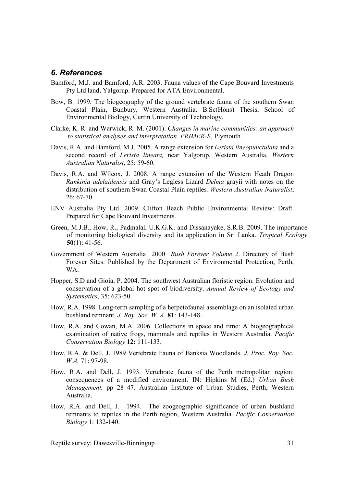#### 6. References

- Bamford, M.J. and Bamford, A.R. 2003. Fauna values of the Cape Bouvard Investments Pty Ltd land, Yalgorup. Prepared for ATA Environmental.
- Bow, B. 1999. The biogeography of the ground vertebrate fauna of the southern Swan Coastal Plain, Bunbury, Western Australia. B.Sc(Hons) Thesis, School of Environmental Biology, Curtin University of Technology.
- Clarke, K. R. and Warwick, R. M. (2001). Changes in marine communities: an approach to statistical analyses and interpretation. PRIMER-E, Plymouth.
- Davis, R.A. and Bamford, M.J. 2005. A range extension for Lerista lineopunctulata and a second record of Lerista lineata, near Yalgorup, Western Australia. Western Australian Naturalist, 25: 59-60.
- Davis, R.A. and Wilcox, J. 2008. A range extension of the Western Heath Dragon Rankinia adelaidensis and Gray's Legless Lizard Delma grayii with notes on the distribution of southern Swan Coastal Plain reptiles. Western Australian Naturalist, 26: 67-70.
- ENV Australia Pty Ltd. 2009. Clifton Beach Public Environmental Review: Draft. Prepared for Cape Bouvard Investments.
- Green, M.J.B., How, R., Padmalal, U.K.G.K. and Dissanayake, S.R.B. 2009. The importance of monitoring biological diversity and its application in Sri Lanka. Tropical Ecology  $50(1)$ : 41-56.
- Government of Western Australia 2000 Bush Forever Volume 2. Directory of Bush Forever Sites. Published by the Department of Environmental Protection, Perth, WA.
- Hopper, S.D and Gioia, P. 2004. The southwest Australian floristic region: Evolution and conservation of a global hot spot of biodiversity. Annual Review of Ecology and Systematics, 35: 623-50.
- How, R.A. 1998. Long-term sampling of a herpetofaunal assemblage on an isolated urban bushland remnant. J. Roy. Soc. W. A. 81: 143-148.
- How, R.A. and Cowan, M.A. 2006. Collections in space and time: A biogeographical examination of native frogs, mammals and reptiles in Western Australia. Pacific Conservation Biology 12: 111-133.
- How, R.A. & Dell, J. 1989 Vertebrate Fauna of Banksia Woodlands. J. Proc. Roy. Soc. W.A. 71: 97-98.
- How, R.A. and Dell, J. 1993. Vertebrate fauna of the Perth metropolitan region: consequences of a modified environment. IN: Hipkins M (Ed.) Urban Bush Management, pp 28–47. Australian Institute of Urban Studies, Perth, Western Australia.
- How, R.A. and Dell, J. 1994. The zoogeographic significance of urban bushland remnants to reptiles in the Perth region, Western Australia. Pacific Conservation Biology 1: 132-140.

Reptile survey: Dawesville-Binningup 31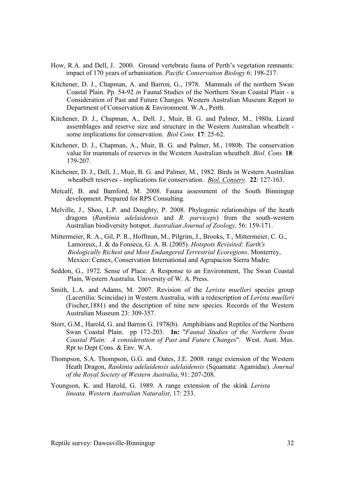- How, R.A. and Dell, J. 2000. Ground vertebrate fauna of Perth's vegetation remnants: impact of 170 years of urbanisation. Pacific Conservation Biology 6: 198-217.
- Kitchener, D. J., Chapman, A. and Barron, G., 1978. Mammals of the northern Swan Coastal Plain. Pp. 54-92 in Faunal Studies of the Northern Swan Coastal Plain - a Consideration of Past and Future Changes. Western Australian Museum Report to Department of Conservation & Environment. W.A., Perth.
- Kitchener, D. J., Chapman, A., Dell. J., Muir, B. G. and Palmer, M., 1980a. Lizard assemblages and reserve size and structure in the Western Australian wheatbelt some implications for conservation. Biol Cons. 17: 25-62.
- Kitchener, D. J., Chapman, A., Muir, B. G. and Palmer, M., 1980b. The conservation value for mammals of reserves in the Western Australian wheatbelt. Biol. Cons. 18: 179-207.
- Kitchener, D. J., Dell, J., Muir, B. G. and Palmer, M., 1982. Birds in Western Australian wheatbelt reserves - implications for conservation. Biol. Conserv. 22: 127-163.
- Metcalf, B. and Bamford, M. 2008. Fauna assessment of the South Binningup development. Prepared for RPS Consulting.
- Melville, J., Shoo, L.P. and Doughty, P. 2008. Phylogenic relationships of the heath dragons (Rankinia adelaidensis and R. parviceps) from the south-western Australian biodiversity hotspot. Australian Journal of Zoology, 56: 159-171.
- Mittermeier, R. A., Gil, P. R., Hoffman, M., Pilgrim, J., Brooks, T., Mittermeier, C. G., Lamoreux, J. & da Fonseca, G. A. B. (2005). Hotspots Revisited: Earth's Biologically Richest and Most Endangered Terrestrial Ecoregions. Monterrey, Mexico: Cemex, Conservation International and Agrupacion Sierra Madre.
- Seddon, G., 1972. Sense of Place. A Response to an Environment, The Swan Coastal Plain, Western Australia. University of W. A. Press.
- Smith, L.A. and Adams, M. 2007. Revision of the *Lerista muelleri* species group (Lacertilia: Scincidae) in Western Australia, with a redescription of Lerista muelleri (Fischer,1881) and the description of nine new species. Records of the Western Australian Museum 23: 309-357.
- Storr, G.M., Harold, G. and Barron G. 1978(b). Amphibians and Reptiles of the Northern Swan Coastal Plain. pp 172-203. In: "Faunal Studies of the Northern Swan Coastal Plain: A consideration of Past and Future Changes". West. Aust. Mus. Rpt to Dept Cons. & Env. W.A.
- Thompson, S.A. Thompson, G.G. and Oates, J.E. 2008. range extension of the Western Heath Dragon, Rankinia adelaidensis adelaidensis (Squamata: Agamidae). Journal of the Royal Society of Western Australia, 91: 207-208.
- Youngson, K. and Harold, G. 1989. A range extension of the skink Lerista lineata. Western Australian Naturalist, 17: 233.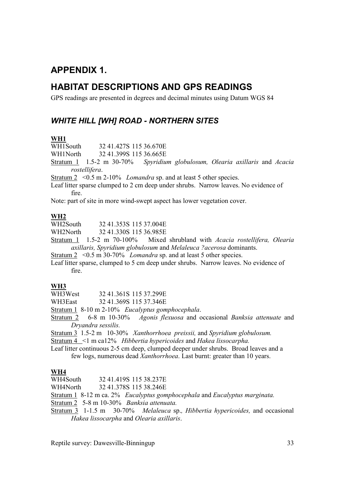# APPENDIX 1.

## HABITAT DESCRIPTIONS AND GPS READINGS

GPS readings are presented in degrees and decimal minutes using Datum WGS 84

## WHITE HILL [WH] ROAD - NORTHERN SITES

### WH1

WH1South 32 41.427S 115 36.670E

WH1North 32 41.399S 115 36.665E

Stratum 1 1.5-2 m 30-70% Spyridium globulosum, Olearia axillaris and Acacia rostellifera.

Stratum  $2 \le 0.5$  m 2-10% *Lomandra* sp. and at least 5 other species.

Leaf litter sparse clumped to 2 cm deep under shrubs. Narrow leaves. No evidence of fire.

Note: part of site in more wind-swept aspect has lower vegetation cover.

### WH2

WH2South 32 41.353S 115 37.004E WH2North 32 41.330S 115 36.985E

Stratum 1 1.5-2 m 70-100% Mixed shrubland with Acacia rostellifera, Olearia axillaris, Spyridium globulosum and Melaleuca ?acerosa dominants.

Stratum  $2 \le 0.5$  m 30-70% *Lomandra* sp. and at least 5 other species.

Leaf litter sparse, clumped to 5 cm deep under shrubs. Narrow leaves. No evidence of fire.

WH3<br>WH3West 32 41.361S 115 37.299E

WH3East 32 41.369S 115 37.346E

Stratum 1 8-10 m 2-10% Eucalyptus gomphocephala.

Stratum 2 6-8 m 10-30% Agonis flexuosa and occasional Banksia attenuate and Dryandra sessilis.

Stratum 3 1.5-2 m 10-30% Xanthorrhoea preissii, and Spyridium globulosum. Stratum 4 <1 m ca12% Hibbertia hypericoides and Hakea lissocarpha.

Leaf litter continuous 2-5 cm deep, clumped deeper under shrubs. Broad leaves and a

few logs, numerous dead Xanthorrhoea. Last burnt: greater than 10 years.

WH4<br>WH4South 32 41.419S 115 38.237E

WH4North 32 41.378S 115 38.246E

Stratum 1 8-12 m ca. 2% Eucalyptus gomphocephala and Eucalyptus marginata.

Stratum 2 5-8 m 10-30% Banksia attenuata.

Stratum 3 1-1.5 m 30-70% Melaleuca sp., Hibbertia hypericoides, and occasional Hakea lissocarpha and Olearia axillaris.

Reptile survey: Dawesville-Binningup 33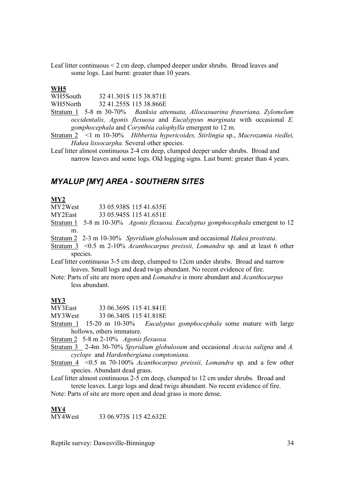Leaf litter continuous < 2 cm deep, clumped deeper under shrubs. Broad leaves and some logs. Last burnt: greater than 10 years.

#### WH5

WH5South 32 41.301S 115.38 871E WH5North 32 41.255S 115 38.866E

- Stratum 1 5-8 m 30-70% Banksia attenuata, Allocasuarina fraseriana, Zylomelum occidentalis, Agonis flexuosa and Eucalypyus marginata with occasional E. gomphocephala and Corymbia calophylla emergent to 12 m.
- Stratum 2 <1 m 10-30% Hibbertia hypericoides, Stirlingia sp., Macrozamia riedlei, Hakea lissocarpha. Several other species.
- Leaf litter almost continuous 2-4 cm deep, clumped deeper under shrubs. Broad and narrow leaves and some logs. Old logging signs. Last burnt: greater than 4 years.

### MYALUP [MY] AREA - SOUTHERN SITES

#### MY2

MY2West 33 05.938S 115 41.635E

MY2East 33 05.945S 115 41.651E

Stratum 1 5-8 m 10-30% Agonis flexuosa. Eucalyptus gomphocephala emergent to 12 m.

Stratum 2 2-3 m 10-30% Spyridium globulosum and occasional Hakea prostrata.

Stratum 3 <0.5 m 2-10% Acanthocarpus preissii, Lomandra sp. and at least 6 other species.

Leaf litter continuous 3-5 cm deep, clumped to 12cm under shrubs. Broad and narrow leaves. Small logs and dead twigs abundant. No recent evidence of fire.

Note: Parts of site are more open and Lomandra is more abundant and Acanthocarpus less abundant.

#### MY3

MY3East 33 06.369S 115 41.841E

MY3West 33 06.340S 115 41.818E

Stratum 1 15-20 m 10-30% Eucalyptus gomphocephala some mature with large hollows, others immature.

Stratum 2 5-8 m 2-10% Agonis flexuosa.

Stratum 3 2-4m 30-70% Spyridium globulosum and occasional Acacia saligna and A. cyclops and Hardenbergiana comptoniana.

Stratum 4 <0.5 m 70-100% Acanthocarpus preissii, Lomandra sp. and a few other species. Abundant dead grass.

Leaf litter almost continuous 2-5 cm deep, clumped to 12 cm under shrubs. Broad and terete leaves. Large logs and dead twigs abundant. No recent evidence of fire.

Note: Parts of site are more open and dead grass is more dense.

 $\frac{\text{MY4}}{\text{MY4West}}$ 33 06 973S 115 42 632E

Reptile survey: Dawesville-Binningup 34